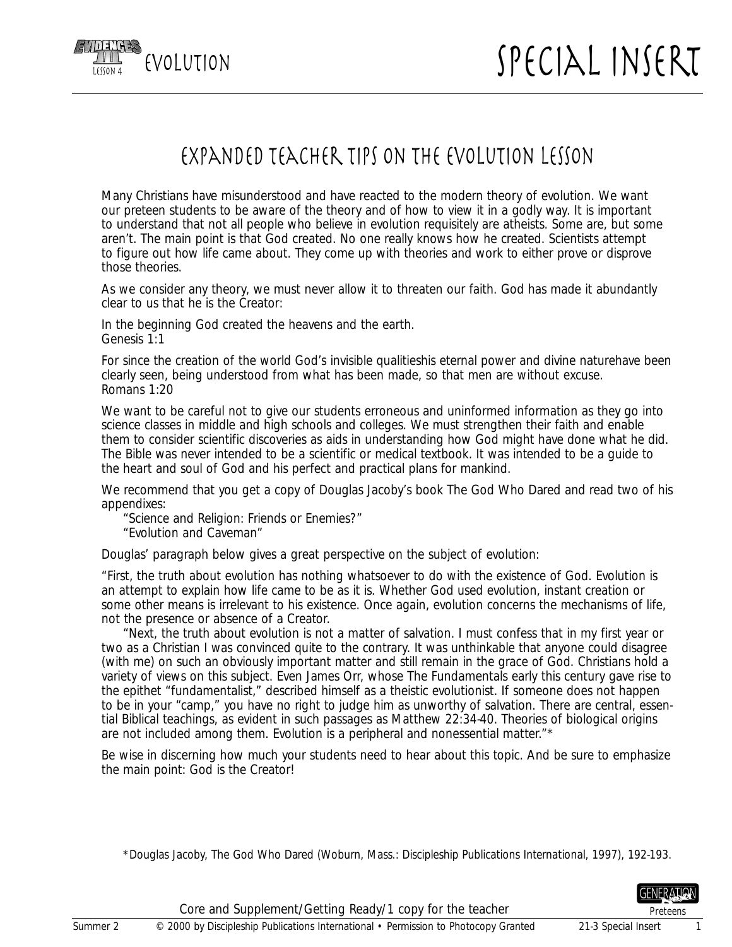

## EXPANDED TEACHER TIPS ON THE EVOLUTION LESSON

Many Christians have misunderstood and have reacted to the modern theory of evolution. We want our preteen students to be aware of the theory and of how to view it in a godly way. It is important to understand that not all people who believe in evolution requisitely are atheists. Some are, but some aren't. The main point is that God created. No one really knows how he created. Scientists attempt to figure out how life came about. They come up with theories and work to either prove or disprove those theories.

As we consider any theory, we must never allow it to threaten our faith. God has made it abundantly clear to us that he is the Creator:

In the beginning God created the heavens and the earth. Genesis 1:1

For since the creation of the world God's invisible qualitieshis eternal power and divine naturehave been clearly seen, being understood from what has been made, so that men are without excuse. Romans 1:20

We want to be careful not to give our students erroneous and uninformed information as they go into science classes in middle and high schools and colleges. We must strengthen their faith and enable them to consider scientific discoveries as aids in understanding how God might have done what he did. The Bible was never intended to be a scientific or medical textbook. It was intended to be a guide to the heart and soul of God and his perfect and practical plans for mankind.

We recommend that you get a copy of Douglas Jacoby's book *The God Who Dared* and read two of his appendixes:

"Science and Religion: Friends or Enemies?"

"Evolution and Caveman"

FV01 UTION

U FU

Douglas' paragraph below gives a great perspective on the subject of evolution:

"First, the truth about evolution has nothing whatsoever to do with the existence of God. Evolution is an attempt to explain how life came to be as it is. Whether God used evolution, instant creation or some other means is irrelevant to his existence. Once again, evolution concerns the mechanisms of life, not the presence or absence of a Creator.

"Next, the truth about evolution is not a matter of salvation. I must confess that in my first year or two as a Christian I was convinced quite to the contrary. It was unthinkable that anyone could disagree (with me) on such an obviously important matter and still remain in the grace of God. Christians hold a variety of views on this subject. Even James Orr, whose *The Fundamentals* early this century gave rise to the epithet "fundamentalist," described himself as a theistic evolutionist. If someone does not happen to be in your "camp," you have no right to judge him as unworthy of salvation. There are central, essential Biblical teachings, as evident in such passages as Matthew 22:34-40. Theories of biological origins are not included among them. Evolution is a peripheral and nonessential matter."\*

Be wise in discerning how much your students need to hear about this topic. And be sure to emphasize the main point: God is the Creator!

\*Douglas Jacoby, *The God Who Dared* (Woburn, Mass.: Discipleship Publications International, 1997), 192-193.



Core and Supplement/Getting Ready/1 copy for the teacher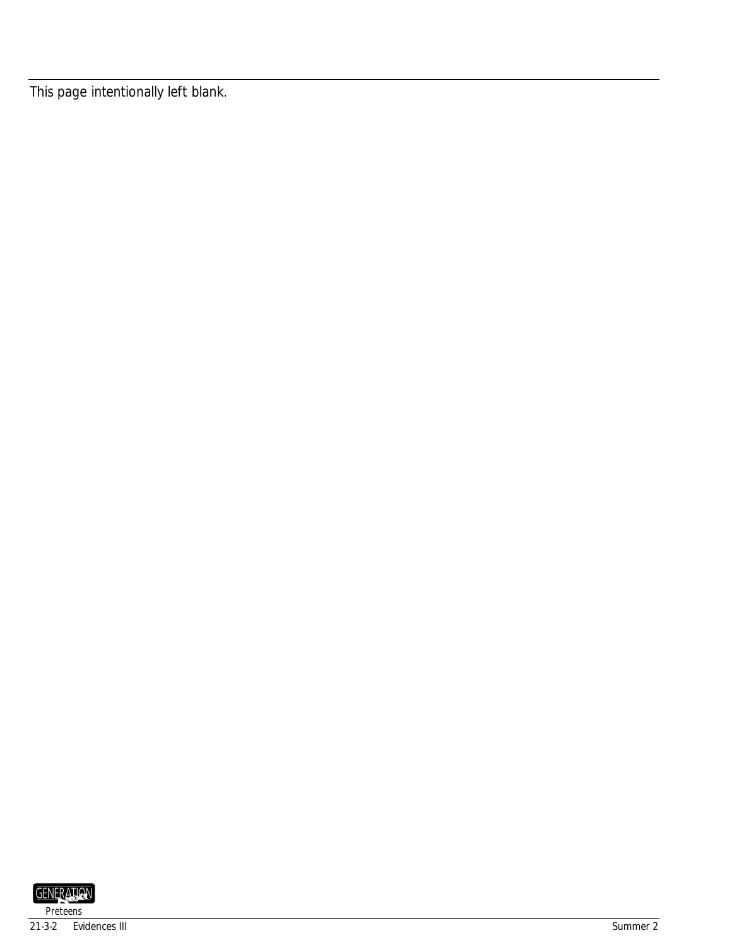This page intentionally left blank.

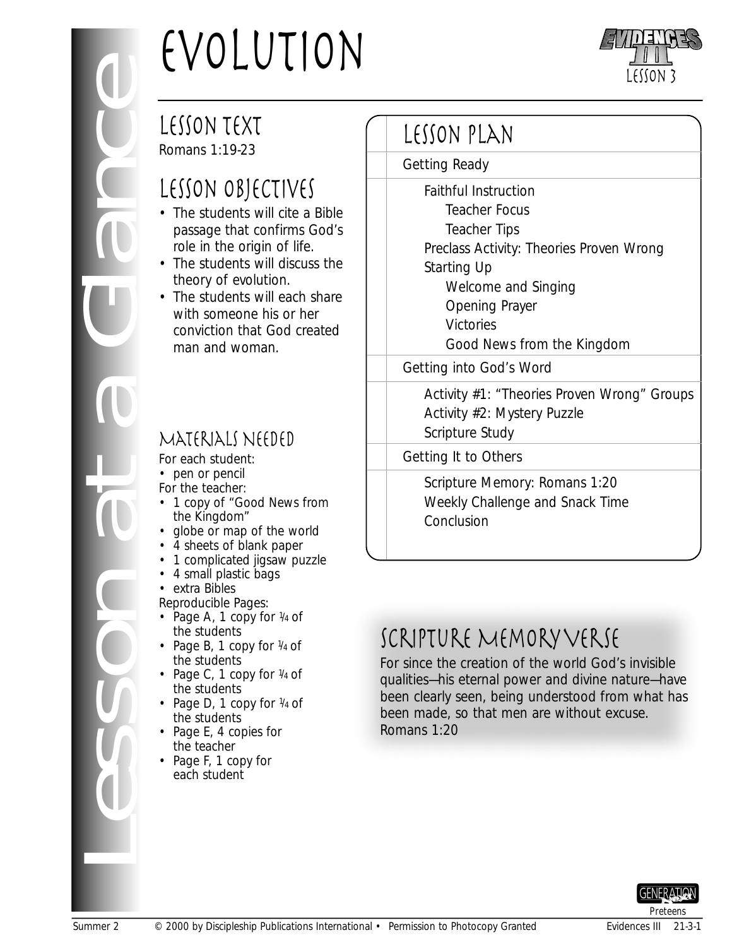# Evolution



## Lesson Text

Romans 1:19-23

## Lesson Objectives

- The students will cite a Bible passage that confirms God's role in the origin of life.
- The students will discuss the theory of evolution.
- The students will each share with someone his or her conviction that God created man and woman.

### Materials Needed

*For each student:* • pen or pencil *For the teacher:* 

- 1 copy of "Good News from the Kingdom"
- qlobe or map of the world
- 4 sheets of blank paper
- 1 complicated jigsaw puzzle
- 4 small plastic bags
- extra Bibles
- *Reproducible Pages:*
- Page A, 1 copy for  $\frac{1}{4}$  of the students
- Page B, 1 copy for  $\frac{1}{4}$  of the students
- Page C, 1 copy for  $\frac{1}{4}$  of the students
- Page D, 1 copy for  $\frac{1}{4}$  of the students
- Page E, 4 copies for the teacher
- Page F, 1 copy for each student

## Lesson Plan

*Getting Ready*

Faithful Instruction Teacher Focus Teacher Tips Preclass Activity: Theories Proven Wrong Starting Up Welcome and Singing Opening Prayer Victories Good News from the Kingdom

*Getting into God's Word* 

Activity #1: "Theories Proven Wrong" Groups Activity #2: Mystery Puzzle Scripture Study

*Getting It to Others*

Scripture Memory: Romans 1:20 Weekly Challenge and Snack Time **Conclusion** 

# Scripture Memory Verse

For since the creation of the world God's invisible qualities—his eternal power and divine nature—have been clearly seen, being understood from what has been made, so that men are without excuse. Romans 1:20

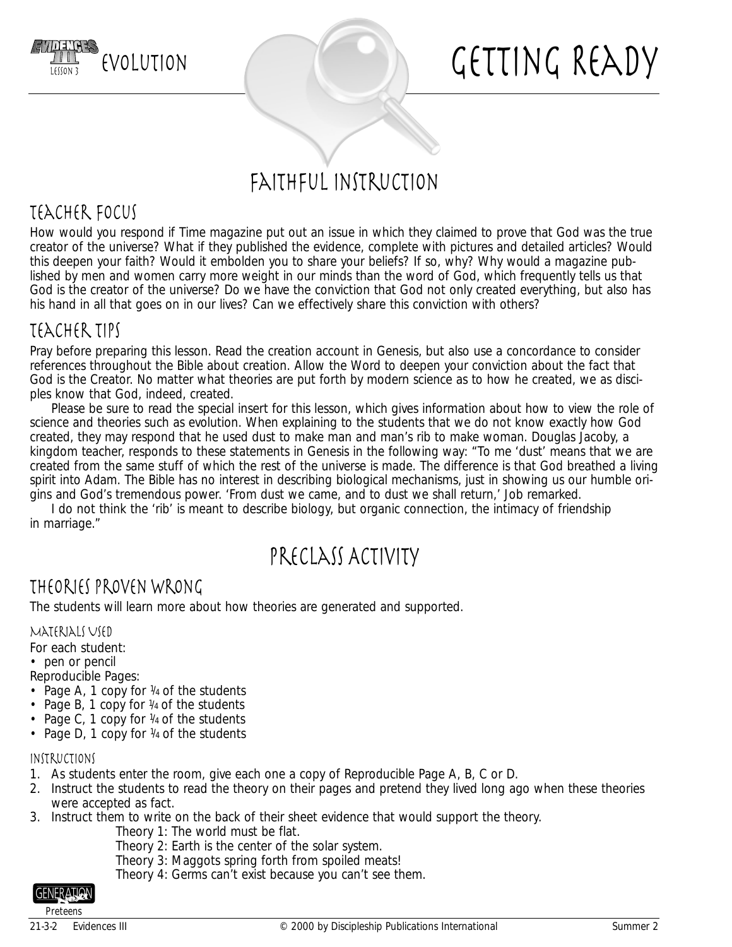

# EVOLUTION GETTING READY

# FAITHFUL INSTRUCTION

### Teacher Focus

How would you respond if *Time* magazine put out an issue in which they claimed to prove that God was the true creator of the universe? What if they published the evidence, complete with pictures and detailed articles? Would this deepen your faith? Would it embolden you to share your beliefs? If so, why? Why would a magazine published by men and women carry more weight in our minds than the word of God, which frequently tells us that God is the creator of the universe? Do we have the conviction that God not only created everything, but also has his hand in all that goes on in our lives? Can we effectively share this conviction with others?

#### Teacher Tips

Pray before preparing this lesson. Read the creation account in Genesis, but also use a concordance to consider references throughout the Bible about creation. Allow the Word to deepen your conviction about the fact that God is the Creator. No matter what theories are put forth by modern science as to how he created, we as disciples know that God, indeed, created.

Please be sure to read the special insert for this lesson, which gives information about how to view the role of science and theories such as evolution. When explaining to the students that we do not know exactly how God created, they may respond that he used dust to make man and man's rib to make woman. Douglas Jacoby, a kingdom teacher, responds to these statements in Genesis in the following way: "To me 'dust' means that we are created from the same stuff of which the rest of the universe is made. The difference is that God breathed a living spirit into Adam. The Bible has no interest in describing biological mechanisms, just in showing us our humble origins and God's tremendous power. 'From dust we came, and to dust we shall return,' Job remarked.

I do not think the 'rib' is meant to describe biology, but organic connection, the intimacy of friendship in marriage."

## PRECLASS ACTIVITY

#### Theories Proven Wrong

The students will learn more about how theories are generated and supported.

Materials Used

*For each student:*

• pen or pencil

*Reproducible Pages:*

- Page A, 1 copy for  $\frac{1}{4}$  of the students
- Page B, 1 copy for  $\frac{1}{4}$  of the students
- Page C, 1 copy for  $\frac{1}{4}$  of the students
- Page D, 1 copy for  $\frac{1}{4}$  of the students

#### INSTRUCTIONS

- 1. As students enter the room, give each one a copy of Reproducible Page A, B, C or D.
- 2. Instruct the students to read the theory on their pages and pretend they lived long ago when these theories were accepted as fact.
- 3. Instruct them to write on the back of their sheet evidence that would support the theory.
	- Theory 1: The world must be flat.
	- Theory 2: Earth is the center of the solar system.
	- Theory 3: Maggots spring forth from spoiled meats!
	- Theory 4: Germs can't exist because you can't see them.

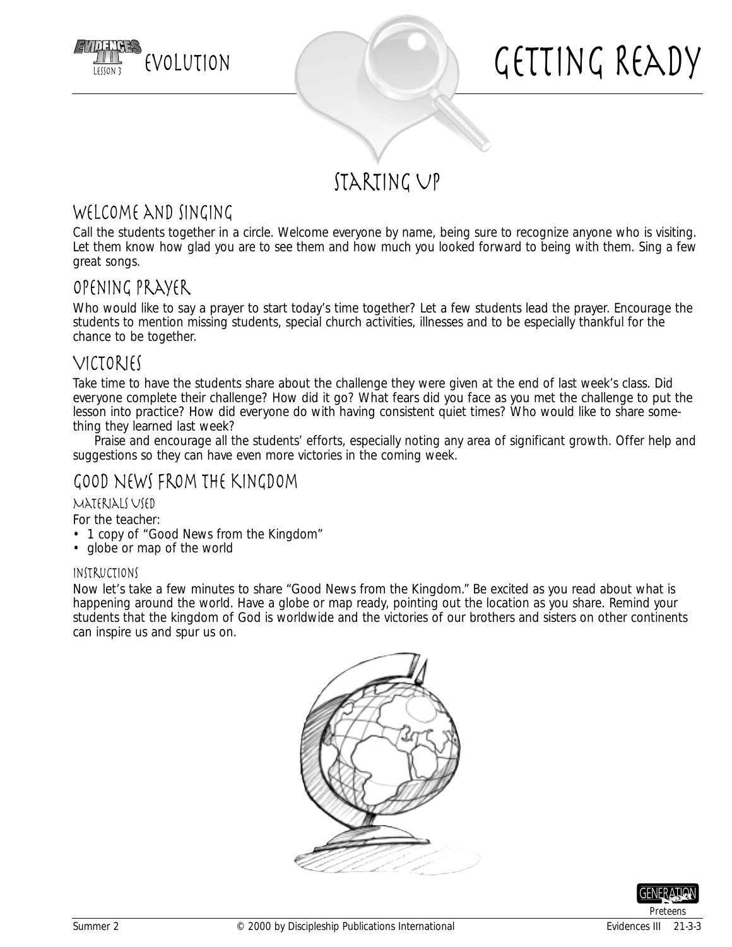

# EVOLUTION GETTING READY

STARTING UP

#### WELCOME AND SINGING

Call the students together in a circle. Welcome everyone by name, being sure to recognize anyone who is visiting. Let them know how glad you are to see them and how much you looked forward to being with them. Sing a few great songs.

#### Opening Prayer

*Who would like to say a prayer to start today's time together?* Let a few students lead the prayer. Encourage the students to mention missing students, special church activities, illnesses and to be especially thankful for the chance to be together.

#### Victories

Take time to have the students share about the challenge they were given at the end of last week's class. *Did everyone complete their challenge? How did it go? What fears did you face as you met the challenge to put the lesson into practice? How did everyone do with having consistent quiet times? Who would like to share something they learned last week?*

Praise and encourage all the students' efforts, especially noting any area of significant growth. Offer help and suggestions so they can have even more victories in the coming week.

#### Good News from the Kingdom

#### Materials Used

*For the teacher:*

- 1 copy of "Good News from the Kingdom"
- globe or map of the world

#### Instructions

*Now let's take a few minutes to share "Good News from the Kingdom."* Be excited as you read about what is happening around the world. Have a globe or map ready, pointing out the location as you share. Remind your students that the kingdom of God is worldwide and the victories of our brothers and sisters on other continents can inspire us and spur us on.



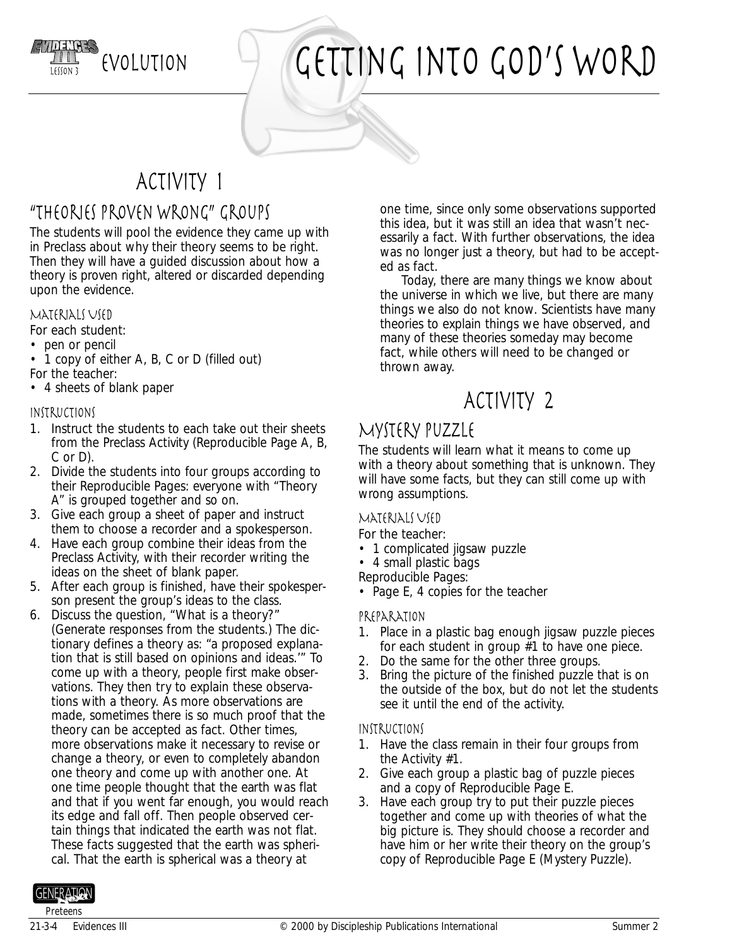# EVOLUTION  $\bigcup$  GETTING INTO GOD'S WORD

# Activity 1

### "Theories Proven Wrong" Groups

The students will pool the evidence they came up with in Preclass about why their theory seems to be right. Then they will have a guided discussion about how a theory is proven right, altered or discarded depending upon the evidence.

#### Materials Used

Lesson 3

**IDETA:** 

#### *For each student:*

- pen or pencil
- 1 copy of either A, B, C or D (filled out)
- *For the teacher:*
- 4 sheets of blank paper

#### Instructions

- 1. Instruct the students to each take out their sheets from the Preclass Activity (Reproducible Page A, B, C or D).
- 2. Divide the students into four groups according to their Reproducible Pages: everyone with "Theory A" is grouped together and so on.
- 3. Give each group a sheet of paper and instruct them to choose a recorder and a spokesperson.
- 4. Have each group combine their ideas from the Preclass Activity, with their recorder writing the ideas on the sheet of blank paper.
- 5. After each group is finished, have their spokesperson present the group's ideas to the class.
- 6. Discuss the question, *"What is a theory?"* (Generate responses from the students.) *The dictionary defines a theory as: "a proposed explanation that is still based on opinions and ideas.'*" *To come up with a theory, people first make observations. They then try to explain these observations with a theory. As more observations are made, sometimes there is so much proof that the theory can be accepted as fact. Other times, more observations make it necessary to revise or change a theory, or even to completely abandon one theory and come up with another one. At one time people thought that the earth was flat and that if you went far enough, you would reach its edge and fall off. Then people observed certain things that indicated the earth was not flat. These facts suggested that the earth was spherical. That the earth is spherical was a theory at*



*Today, there are many things we know about the universe in which we live, but there are many things we also do not know. Scientists have many theories to explain things we have observed, and many of these theories someday may become fact, while others will need to be changed or thrown away.*

# Activity 2

### Mystery Puzzle

The students will learn what it means to come up with a theory about something that is unknown. They will have some facts, but they can still come up with wrong assumptions.

#### Materials Used

*For the teacher:* 

- 1 complicated jigsaw puzzle
- 4 small plastic bags
- *Reproducible Pages:*
- Page E, 4 copies for the teacher

#### Preparation

- 1. Place in a plastic bag enough jigsaw puzzle pieces for each student in group #1 to have one piece.
- 2. Do the same for the other three groups.
- 3. Bring the picture of the finished puzzle that is on the outside of the box, but do not let the students see it until the end of the activity.

#### Instructions

- 1. Have the class remain in their four groups from the Activity #1.
- 2. Give each group a plastic bag of puzzle pieces and a copy of Reproducible Page E.
- 3. Have each group try to put their puzzle pieces together and come up with theories of what the big picture is. They should choose a recorder and have him or her write their theory on the group's copy of Reproducible Page E (Mystery Puzzle).

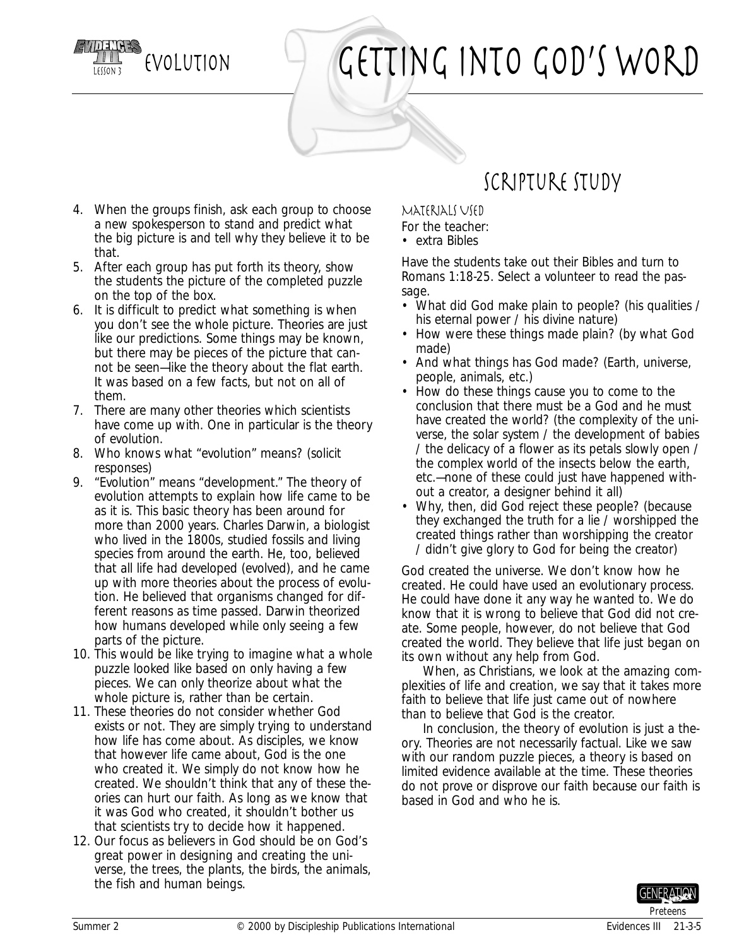

# EVOLUTION  $\rightarrow$  GETTING INTO GOD'S WORD

- 4. When the groups finish, ask each group to choose a new spokesperson to stand and predict what the big picture is and tell why they believe it to be that.
- 5. After each group has put forth its theory, show the students the picture of the completed puzzle on the top of the box.
- 6. *It is difficult to predict what something is when you don't see the whole picture. Theories are just like our predictions. Some things may be known, but there may be pieces of the picture that cannot be seen—like the theory about the flat earth. It was based on a few facts, but not on all of them.*
- 7. *There are many other theories which scientists have come up with. One in particular is the theory of evolution.*
- 8. *Who knows what "evolution" means?* (solicit responses)
- 9. *"Evolution" means "development." The theory of evolution attempts to explain how life came to be as it is. This basic theory has been around for more than 2000 years. Charles Darwin, a biologist who lived in the 1800s, studied fossils and living species from around the earth. He, too, believed that all life had developed (evolved), and he came up with more theories about the process of evolution. He believed that organisms changed for different reasons as time passed. Darwin theorized how humans developed while only seeing a few parts of the picture.*
- 10. *This would be like trying to imagine what a whole puzzle looked like based on only having a few pieces. We can only theorize about what the whole picture is, rather than be certain.*
- 11. *These theories do not consider whether God exists or not. They are simply trying to understand how life has come about. As disciples, we know that however life came about, God is the one who created it. We simply do not know how he created. We shouldn't think that any of these theories can hurt our faith. As long as we know that it was God who created, it shouldn't bother us that scientists try to decide how it happened.*
- *12. Our focus as believers in God should be on God's great power in designing and creating the universe, the trees, the plants, the birds, the animals, the fish and human beings.*

## SCRIPTURE STUDY

#### Materials Used

*For the teacher:*

• extra Bibles

Have the students take out their Bibles and turn to Romans 1:18-25. Select a volunteer to read the passage.

- *What did God make plain to people?* (his qualities / his eternal power / his divine nature)
- *How were these things made plain?* (by what God made)
- *And what things has God made?* (Earth, universe, people, animals, etc.)
- *How do these things cause you to come to the conclusion that there must be a God and he must have created the world?* (the complexity of the universe, the solar system / the development of babies / the delicacy of a flower as its petals slowly open / the complex world of the insects below the earth, etc.—none of these could just have happened without a creator, a designer behind it all)
- *Why, then, did God reject these people?* (because they exchanged the truth for a lie / worshipped the created things rather than worshipping the creator / didn't give glory to God for being the creator)

*God created the universe. We don't know how he created. He could have used an evolutionary process. He could have done it any way he wanted to. We do know that it is wrong to believe that God did not create. Some people, however, do not believe that God created the world. They believe that life just began on its own without any help from God.*

*When, as Christians, we look at the amazing complexities of life and creation, we say that it takes more faith to believe that life just came out of nowhere than to believe that God is the creator.*

*In conclusion, the theory of evolution is just a theory. Theories are not necessarily factual. Like we saw with our random puzzle pieces, a theory is based on limited evidence available at the time. These theories do not prove or disprove our faith because our faith is based in God and who he is.* 

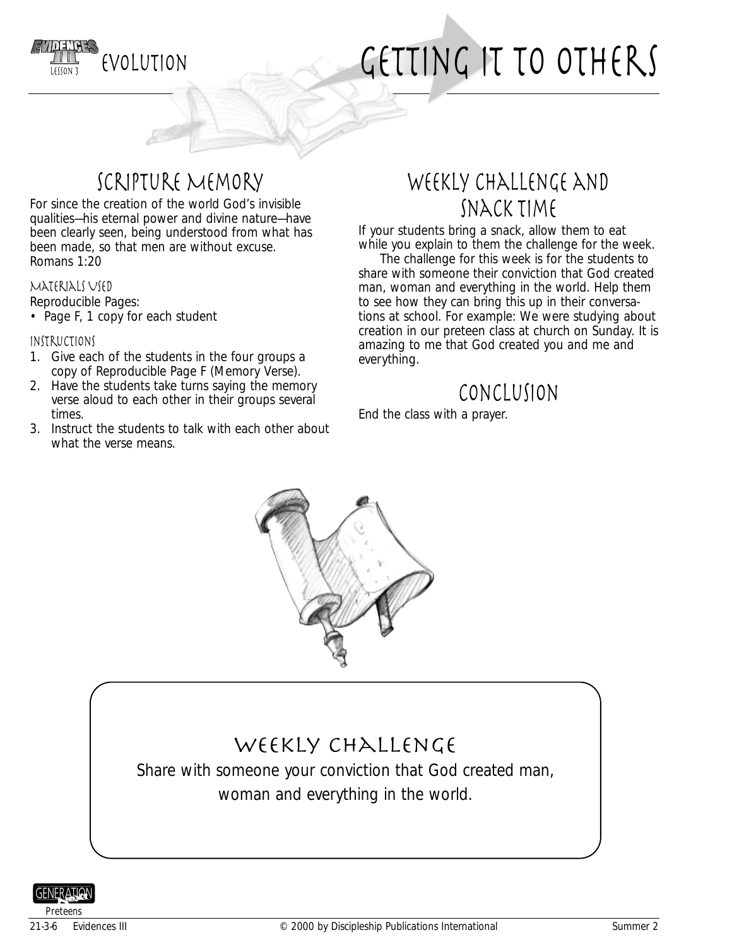

# EVOLUTION GETTING IT TO OTHERS

## Scripture Memory

For since the creation of the world God's invisible qualities—his eternal power and divine nature—have been clearly seen, being understood from what has been made, so that men are without excuse. Romans 1:20

#### Materials Used

*Reproducible Pages:*

• Page F, 1 copy for each student

#### Instructions

- 1. Give each of the students in the four groups a copy of Reproducible Page F (Memory Verse).
- 2. Have the students take turns saying the memory verse aloud to each other in their groups several times.
- 3. Instruct the students to talk with each other about what the verse means.

## WEEKLY CHALLENGE AND Snack Time

If your students bring a snack, allow them to eat while you explain to them the challenge for the week.

The challenge for this week is for the students to share with someone their conviction that God created man, woman and everything in the world. Help them to see how they can bring this up in their conversations at school. For example: *We were studying about creation in our preteen class at church on Sunday. It is amazing to me that God created you and me and everything.*

### Conclusion

End the class with a prayer.



#### WEEKLY CHALLENGE

Share with someone your conviction that God created man, woman and everything in the world.

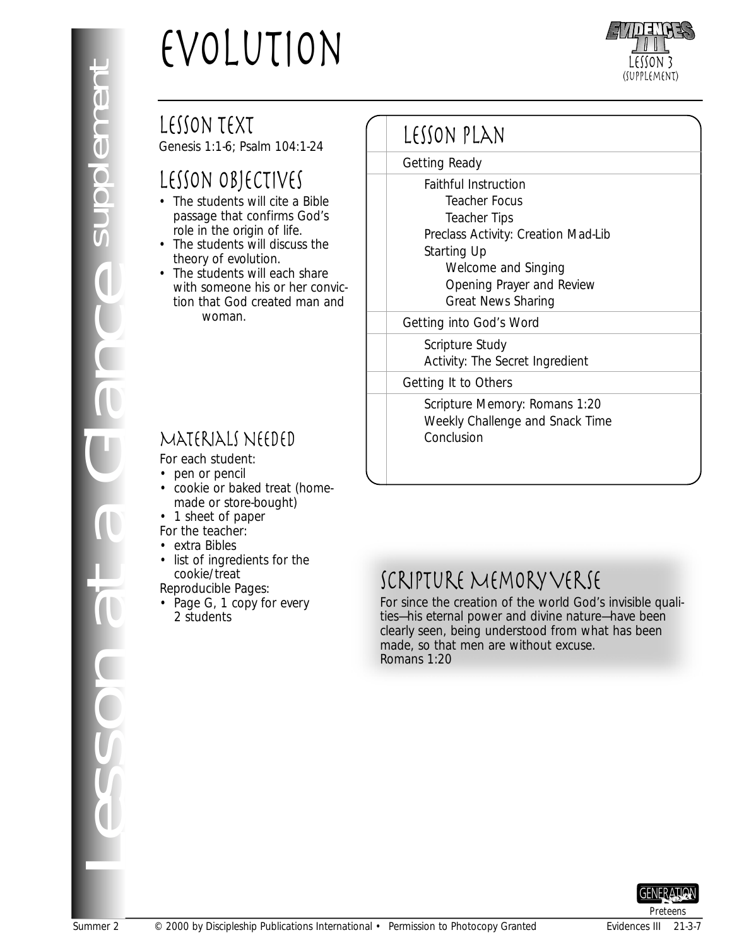# Evolution



## Lesson Text

Genesis 1:1-6; Psalm 104:1-24

## Lesson Objectives

- The students will cite a Bible passage that confirms God's role in the origin of life.
- The students will discuss the theory of evolution.
- The students will each share with someone his or her conviction that God created man and woman.

### Materials Needed

*For each student:*

- pen or pencil
- cookie or baked treat (homemade or store-bought)
- 1 sheet of paper
- *For the teacher:*
- extra Bibles
- list of ingredients for the cookie/treat

*Reproducible Pages:*

• Page G, 1 copy for every 2 students

## Lesson Plan

*Getting Ready*

Faithful Instruction Teacher Focus Teacher Tips Preclass Activity: Creation Mad-Lib Starting Up Welcome and Singing Opening Prayer and Review Great News Sharing

*Getting into God's Word* 

Scripture Study Activity: The Secret Ingredient

*Getting It to Others*

Scripture Memory: Romans 1:20 Weekly Challenge and Snack Time Conclusion

## Scripture Memory Verse

For since the creation of the world God's invisible qualities—his eternal power and divine nature—have been clearly seen, being understood from what has been made, so that men are without excuse. Romans 1:20

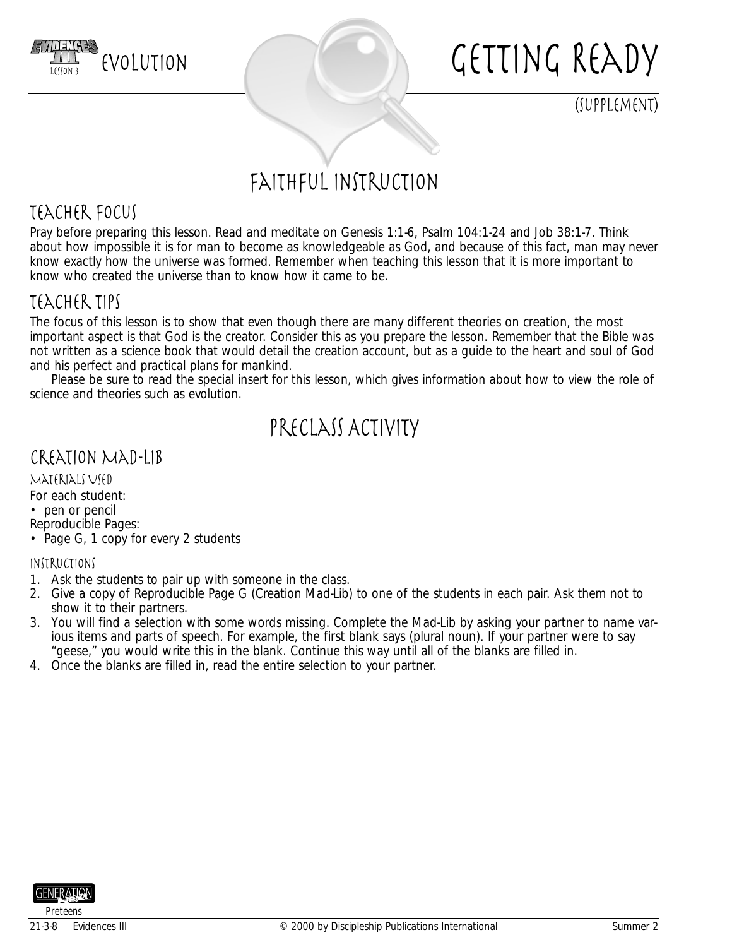

# EVOLUTION GETTING READY

(supplement)

## FAITHFUL INSTRUCTION

#### Teacher Focus

Pray before preparing this lesson. Read and meditate on Genesis 1:1-6, Psalm 104:1-24 and Job 38:1-7. Think about how impossible it is for man to become as knowledgeable as God, and because of this fact, man may never know exactly how the universe was formed. Remember when teaching this lesson that it is more important to know who created the universe than to know how it came to be.

#### Teacher Tips

The focus of this lesson is to show that even though there are many different theories on creation, the most important aspect is that God is the creator. Consider this as you prepare the lesson. Remember that the Bible was not written as a science book that would detail the creation account, but as a guide to the heart and soul of God and his perfect and practical plans for mankind.

Please be sure to read the special insert for this lesson, which gives information about how to view the role of science and theories such as evolution.

## PRECLASS ACTIVITY

#### CREATION MAD-LIB

Materials Used

*For each student:*

• pen or pencil

*Reproducible Pages:*

• Page G, 1 copy for every 2 students

#### Instructions

- 1. Ask the students to pair up with someone in the class.
- 2. Give a copy of Reproducible Page G (Creation Mad-Lib) to one of the students in each pair. Ask them not to show it to their partners.
- 3. *You will find a selection with some words missing. Complete the Mad-Lib by asking your partner to name various items and parts of speech. For example, the first blank says (plural noun). If your partner were to say "geese," you would write this in the blank. Continue this way until all of the blanks are filled in.*
- 4. *Once the blanks are filled in, read the entire selection to your partner.*

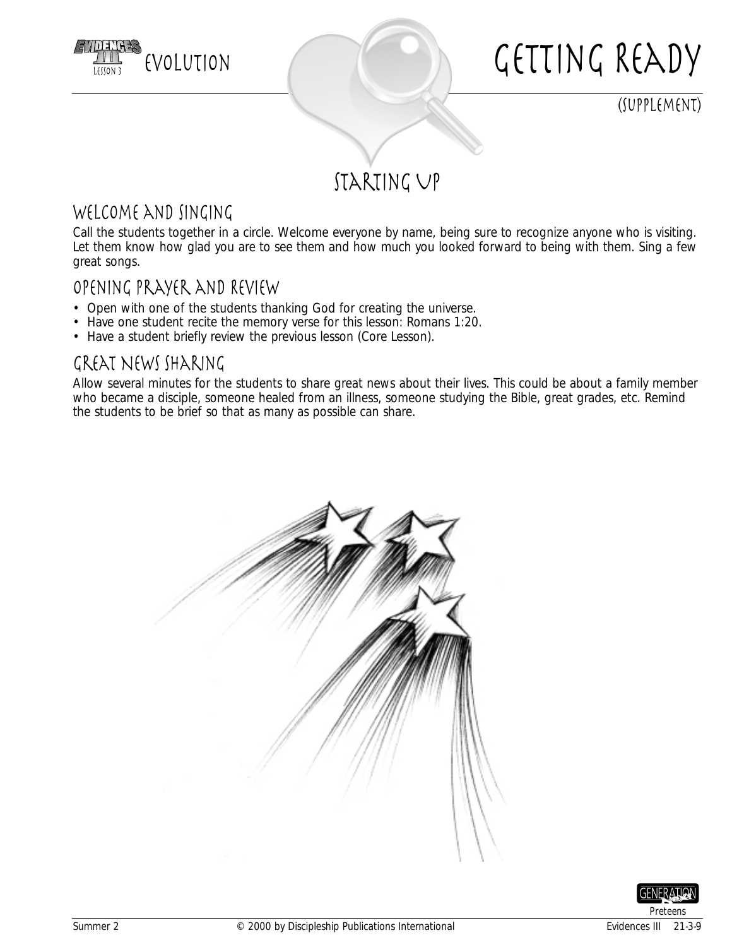

## STARTING UP

#### WELCOME AND SINGING

Call the students together in a circle. Welcome everyone by name, being sure to recognize anyone who is visiting. Let them know how glad you are to see them and how much you looked forward to being with them. Sing a few great songs.

#### Opening Prayer and Review

- Open with one of the students thanking God for creating the universe.
- Have one student recite the memory verse for this lesson: Romans 1:20.
- Have a student briefly review the previous lesson (Core Lesson).

#### Great News Sharing

Allow several minutes for the students to share great news about their lives. This could be about a family member who became a disciple, someone healed from an illness, someone studying the Bible, great grades, etc. Remind the students to be brief so that as many as possible can share.



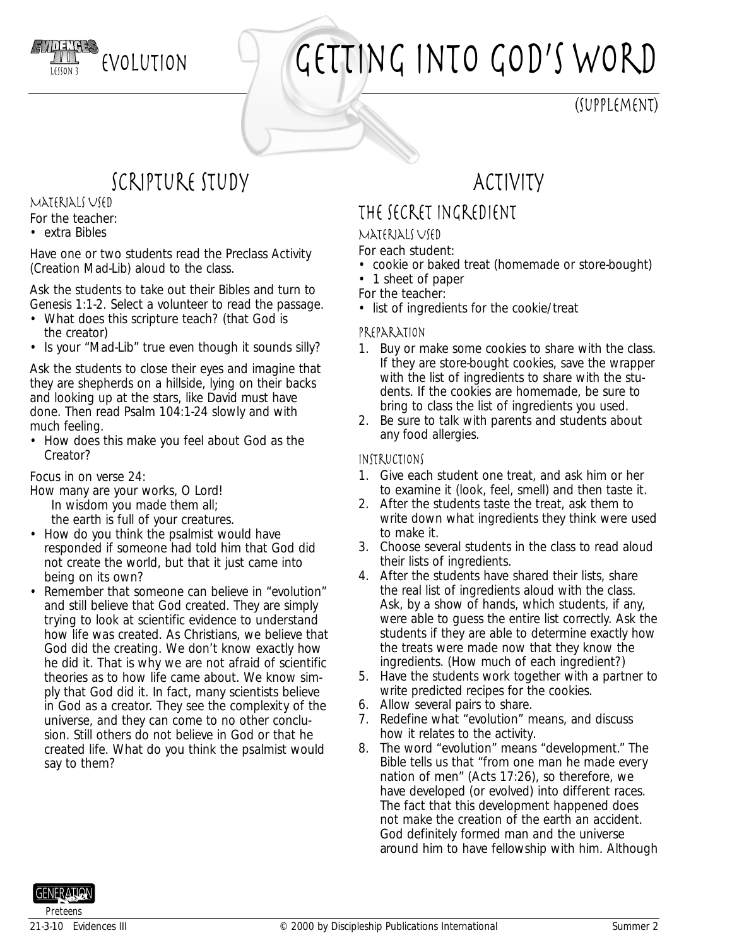

# EVOLUTION GETTING INTO GOD'S WORD

(supplement)

## SCRIPTURE STUDY

#### Materials Used

*For the teacher:*

• extra Bibles

Have one or two students read the Preclass Activity (Creation Mad-Lib) aloud to the class.

Ask the students to take out their Bibles and turn to Genesis 1:1-2. Select a volunteer to read the passage.

- *What does this scripture teach?* (that God is the creator)
- *Is your "Mad-Lib" true even though it sounds silly?*

Ask the students to close their eyes and imagine that they are shepherds on a hillside, lying on their backs and looking up at the stars, like David must have done. Then read Psalm 104:1-24 slowly and with much feeling.

• *How does this make you feel about God as the Creator?*

Focus in on verse 24:

How many are your works, O Lord! In wisdom you made them all; the earth is full of your creatures.

- *How do you think the psalmist would have responded if someone had told him that God did not create the world, but that it just came into being on its own?*
- *Remember that someone can believe in "evolution" and still believe that God created. They are simply trying to look at scientific evidence to understand how life was created. As Christians, we believe that God did the creating. We don't know exactly how he did it. That is why we are not afraid of scientific theories as to how life came about. We know simply that God did it. In fact, many scientists believe in God as a creator. They see the complexity of the universe, and they can come to no other conclusion. Still others do not believe in God or that he created life. What do you think the psalmist would say to them?*

## Activity

### The Secret Ingredient

#### Materials Used

*For each student:*

- cookie or baked treat (homemade or store-bought)
- 1 sheet of paper
- *For the teacher:*
- list of ingredients for the cookie/treat

#### Preparation

- 1. Buy or make some cookies to share with the class. If they are store-bought cookies, save the wrapper with the list of ingredients to share with the students. If the cookies are homemade, be sure to bring to class the list of ingredients you used.
- 2. Be sure to talk with parents and students about any food allergies.

#### Instructions

- 1. Give each student one treat, and ask him or her to examine it (look, feel, smell) and then taste it.
- 2. After the students taste the treat, ask them to write down what ingredients they think were used to make it.
- 3. Choose several students in the class to read aloud their lists of ingredients.
- 4. After the students have shared their lists, share the real list of ingredients aloud with the class. Ask, by a show of hands, which students, if any, were able to guess the entire list correctly. Ask the students if they are able to determine exactly how the treats were made now that they know the ingredients. (How much of each ingredient?)
- 5. Have the students work together with a partner to write predicted recipes for the cookies.
- 6. Allow several pairs to share.
- 7. Redefine what "evolution" means, and discuss how it relates to the activity*.*
- 8. *The word "evolution" means "development." The Bible tells us that "from one man he made every nation of men" (Acts 17:26), so therefore, we have developed (or evolved) into different races. The fact that this development happened does not make the creation of the earth an accident. God definitely formed man and the universe around him to have fellowship with him. Although*

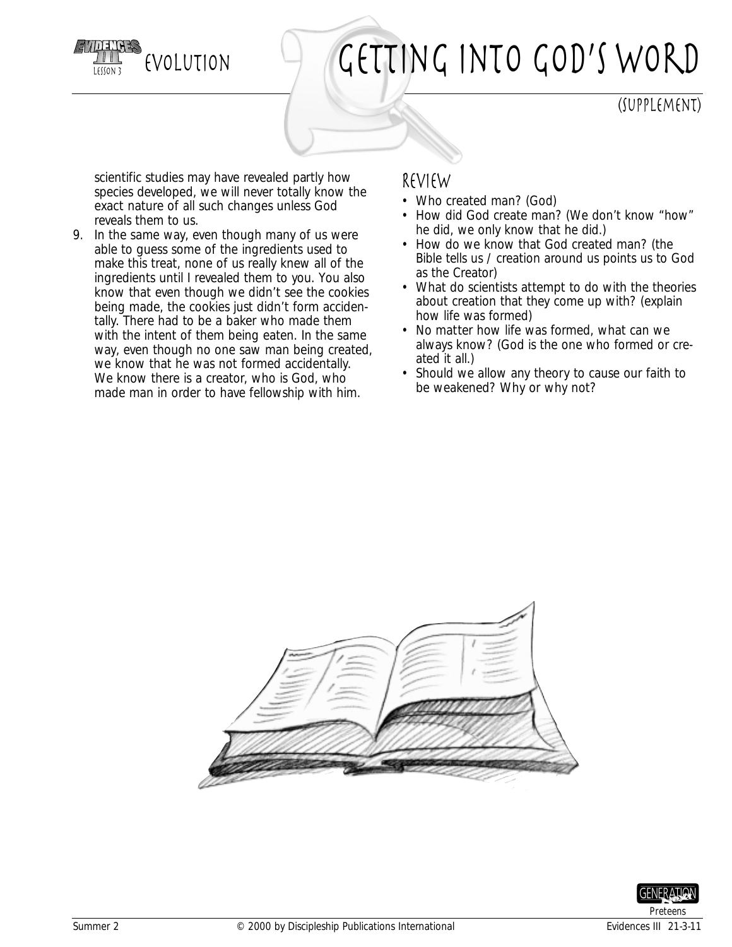

# EVOLUTION GETTING INTO GOD'S WORD

(supplement)

*scientific studies may have revealed partly how species developed, we will never totally know the exact nature of all such changes unless God reveals them to us.*

9. *In the same way, even though many of us were able to guess some of the ingredients used to make this treat, none of us really knew all of the ingredients until I revealed them to you. You also know that even though we didn't see the cookies being made, the cookies just didn't form accidentally. There had to be a baker who made them with the intent of them being eaten. In the same way, even though no one saw man being created, we know that he was not formed accidentally. We know there is a creator, who is God, who made man in order to have fellowship with him.*

#### Review

- *Who created man?* (God)
- *How did God create man?* (We don't know "how" he did, we only know that he did.)
- *How do we know that God created man?* (the Bible tells us / creation around us points us to God as the Creator)
- *What do scientists attempt to do with the theories about creation that they come up with?* (explain how life was formed)
- *No matter how life was formed, what can we always know?* (God is the one who formed or created it all.)
- *Should we allow any theory to cause our faith to be weakened? Why or why not?*



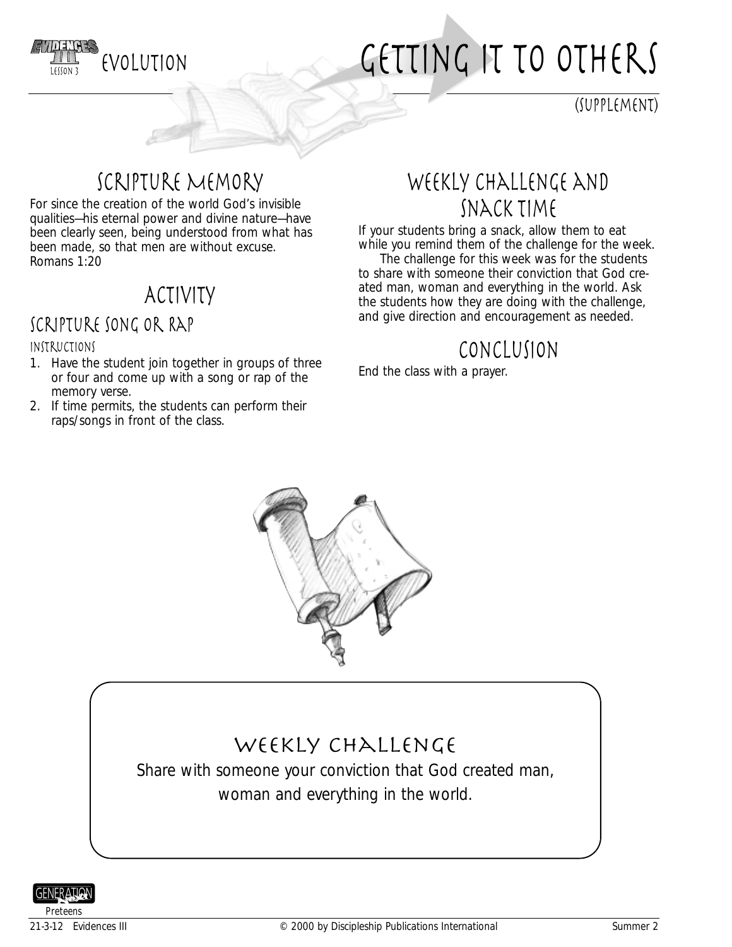

# EVOLUTION GETTING IT TO OTHERS

(supplement)

## Scripture Memory

For since the creation of the world God's invisible qualities—his eternal power and divine nature—have been clearly seen, being understood from what has been made, so that men are without excuse. Romans 1:20

## Activity

### Scripture Song or Rap

#### Instructions

- 1. Have the student join together in groups of three or four and come up with a song or rap of the memory verse.
- 2. If time permits, the students can perform their raps/songs in front of the class.

## WEEKLY CHALLENGE AND Snack Time

If your students bring a snack, allow them to eat while you remind them of the challenge for the week.

The challenge for this week was for the students to share with someone their conviction that God created man, woman and everything in the world. Ask the students how they are doing with the challenge, and give direction and encouragement as needed.

## Conclusion

End the class with a prayer.



### WEEKLY CHALLENGE

Share with someone your conviction that God created man, woman and everything in the world.

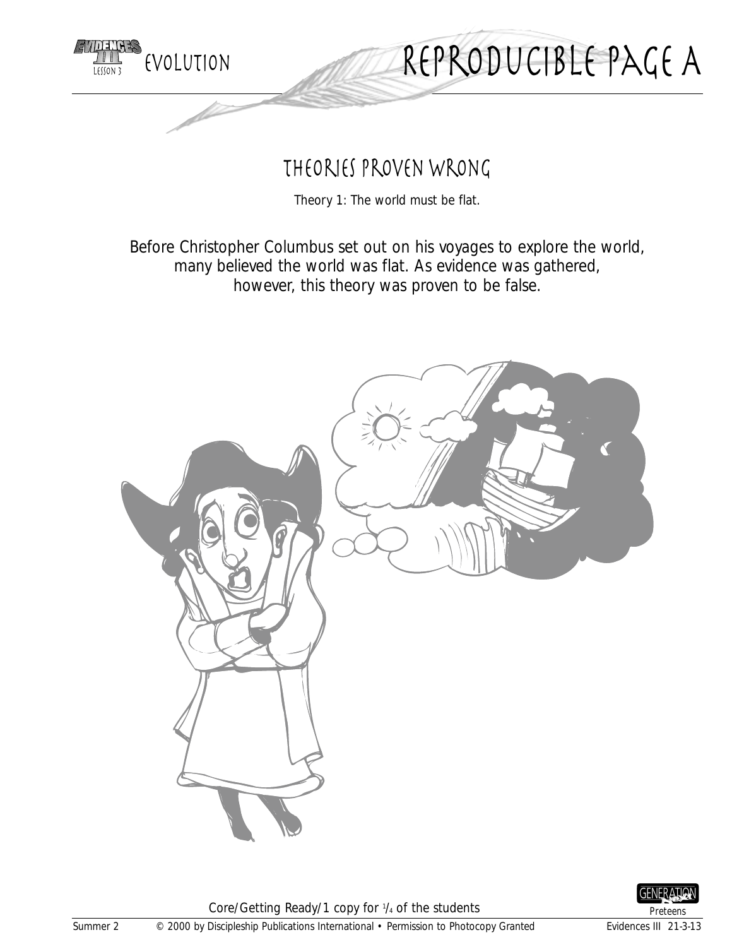

*Theory 1: The world must be flat.*

Before Christopher Columbus set out on his voyages to explore the world, many believed the world was flat. As evidence was gathered, however, this theory was proven to be false.





Core/Getting Ready/1 copy for  $\frac{1}{4}$  of the students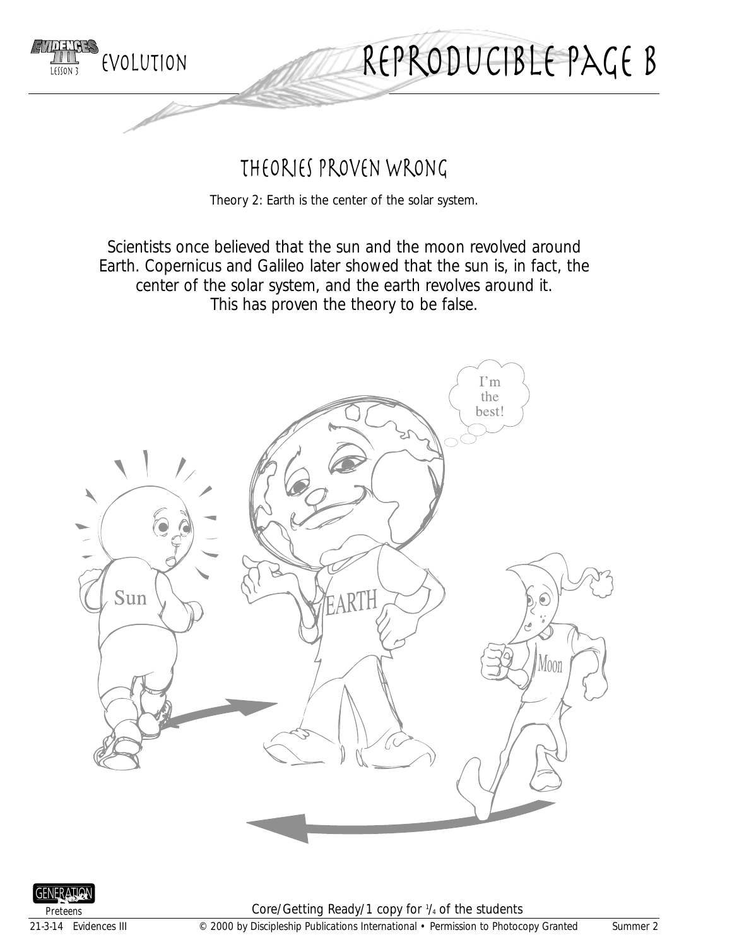

*Theory 2: Earth is the center of the solar system.*

Scientists once believed that the sun and the moon revolved around Earth. Copernicus and Galileo later showed that the sun is, in fact, the center of the solar system, and the earth revolves around it. This has proven the theory to be false.





Core/Getting Ready/1 copy for 1 /4 of the students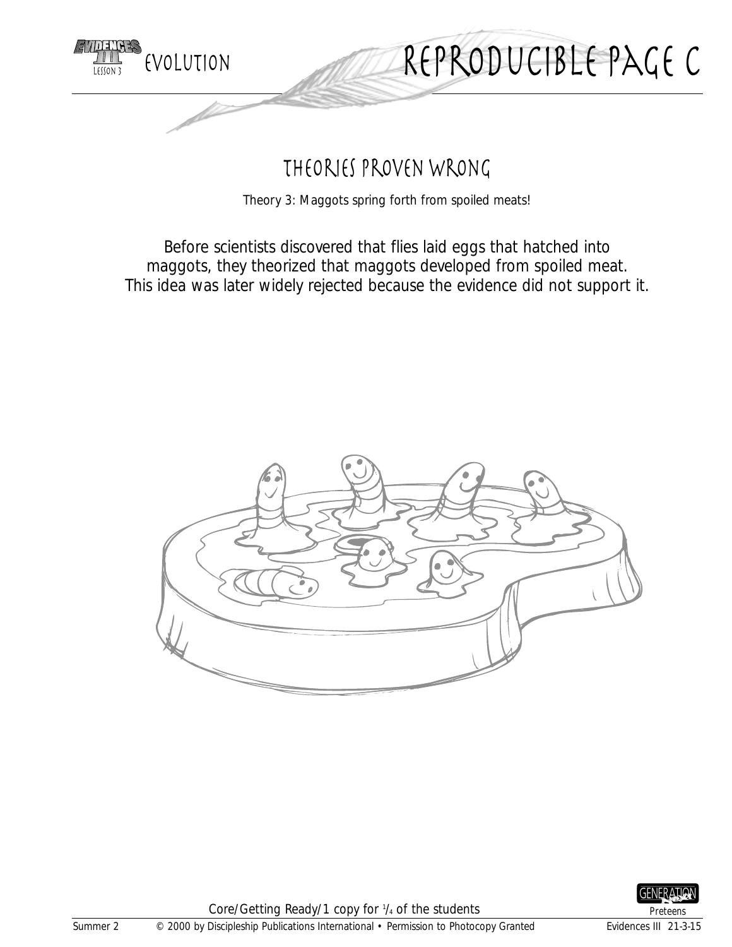

*Theory 3: Maggots spring forth from spoiled meats!*

Before scientists discovered that flies laid eggs that hatched into maggots, they theorized that maggots developed from spoiled meat. This idea was later widely rejected because the evidence did not support it.





Core/Getting Ready/1 copy for 1 /4 of the students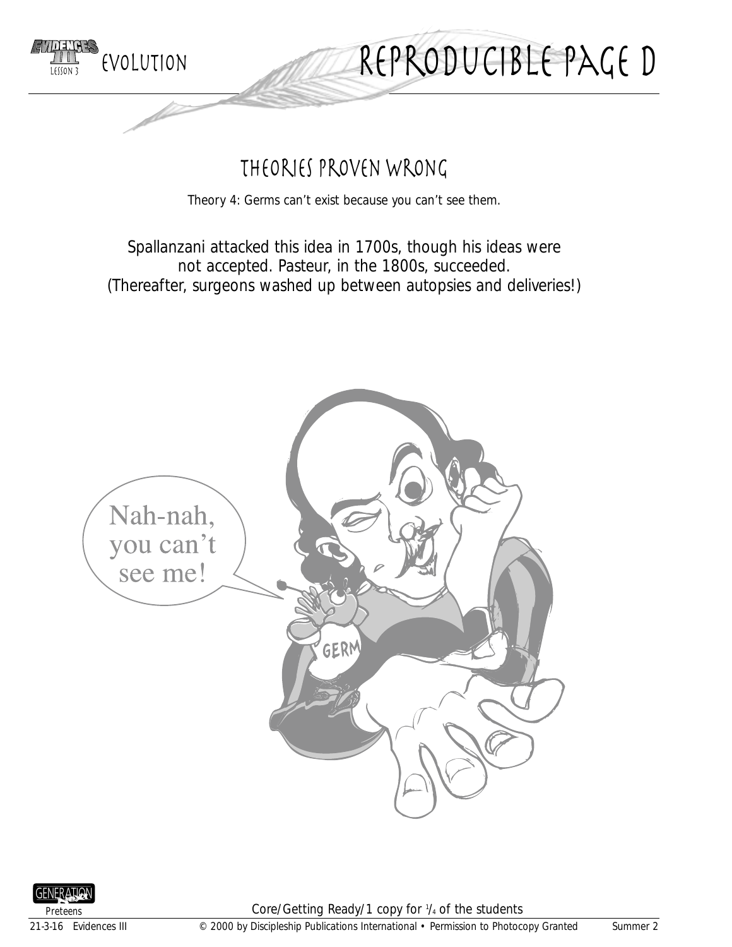

*Theory 4: Germs can't exist because you can't see them.*

Spallanzani attacked this idea in 1700s, though his ideas were not accepted. Pasteur, in the 1800s, succeeded. (Thereafter, surgeons washed up between autopsies and deliveries!)





Core/Getting Ready/1 copy for 1 /4 of the students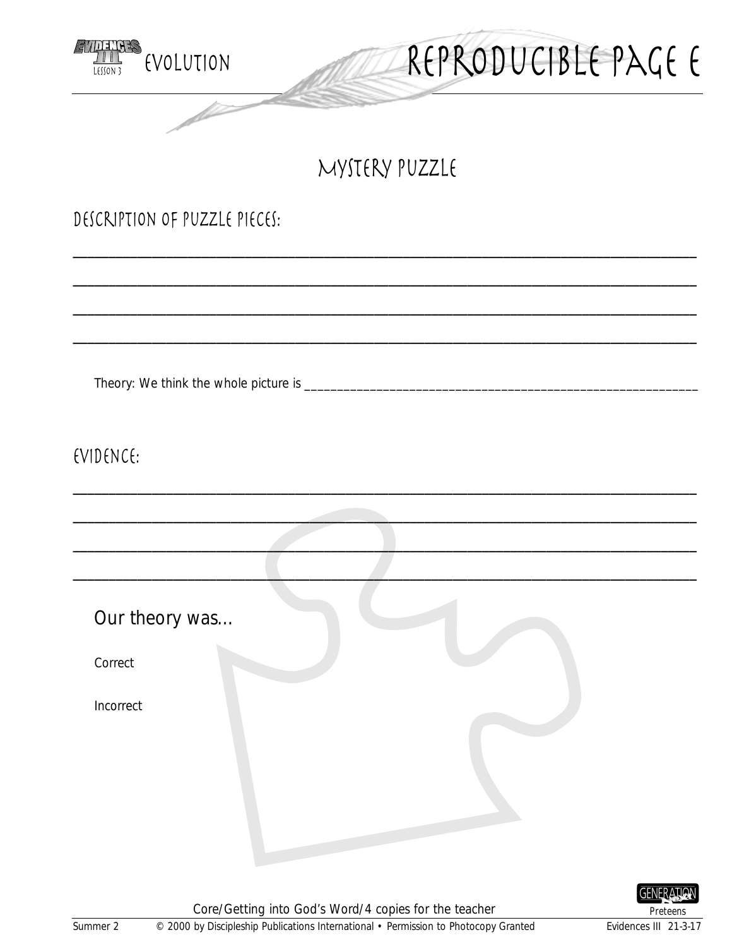| <i>EUPERDE</i><br>EVOLUTION<br>LESSON 3 | REPRODUCIBLE PAGE E |
|-----------------------------------------|---------------------|
|                                         |                     |
|                                         | MYSTERY PUZZLE      |
| DESCRIPTION OF PUZZLE PIECES:           |                     |

EVIDENCE:

Our theory was...

Correct

Incorrect

© 2000 by Discipleship Publications International • Permission to Photocopy Granted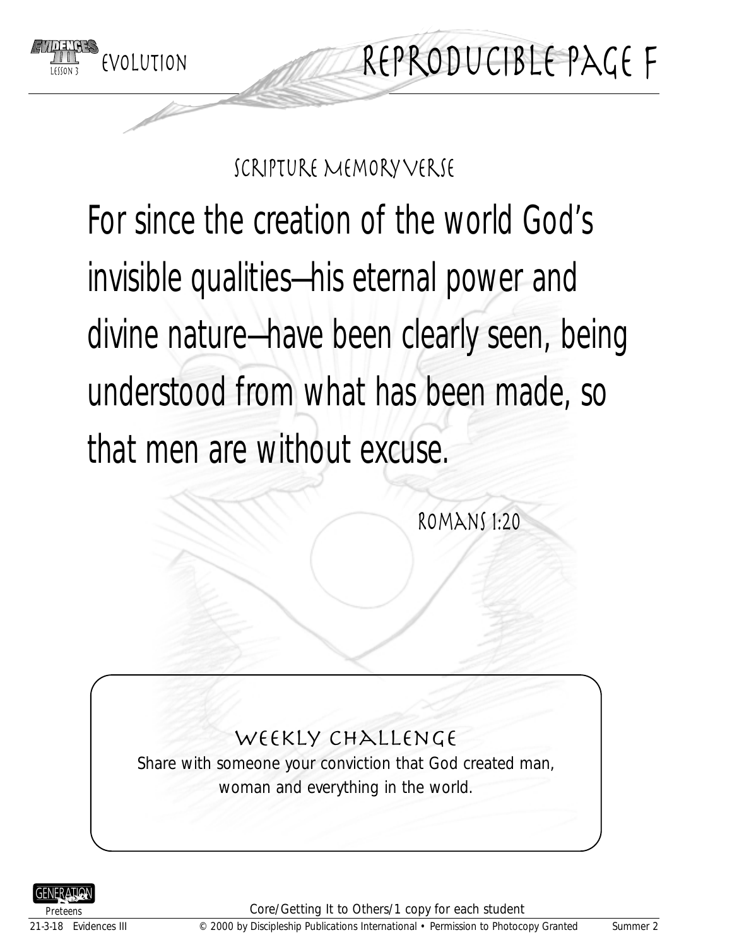

## Scripture Memory Verse

For since the creation of the world God's invisible qualities—his eternal power and divine nature—have been clearly seen, being understood from what has been made, so that men are without excuse.

Romans 1:20

## WEEKLY CHALLENGE

Share with someone your conviction that God created man, woman and everything in the world.



Core/Getting It to Others/1 copy for each student